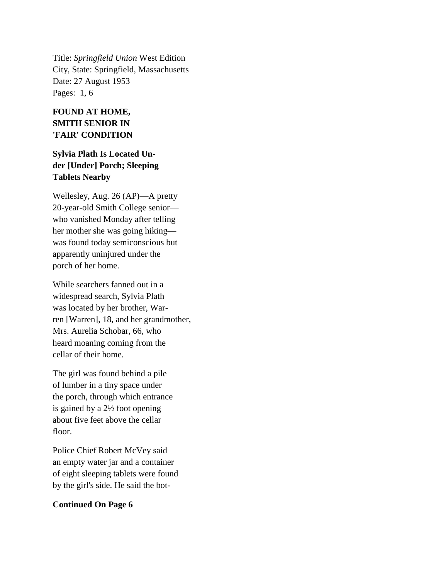Title: *Springfield Union* West Edition City, State: Springfield, Massachusetts Date: 27 August 1953 Pages: 1, 6

## **FOUND AT HOME, SMITH SENIOR IN 'FAIR' CONDITION**

## **Sylvia Plath Is Located Under [Under] Porch; Sleeping Tablets Nearby**

Wellesley, Aug. 26 (AP)—A pretty 20-year-old Smith College senior who vanished Monday after telling her mother she was going hiking was found today semiconscious but apparently uninjured under the porch of her home.

While searchers fanned out in a widespread search, Sylvia Plath was located by her brother, Warren [Warren], 18, and her grandmother, Mrs. Aurelia Schobar, 66, who heard moaning coming from the cellar of their home.

The girl was found behind a pile of lumber in a tiny space under the porch, through which entrance is gained by a 2½ foot opening about five feet above the cellar floor.

Police Chief Robert McVey said an empty water jar and a container of eight sleeping tablets were found by the girl's side. He said the bot-

## **Continued On Page 6**